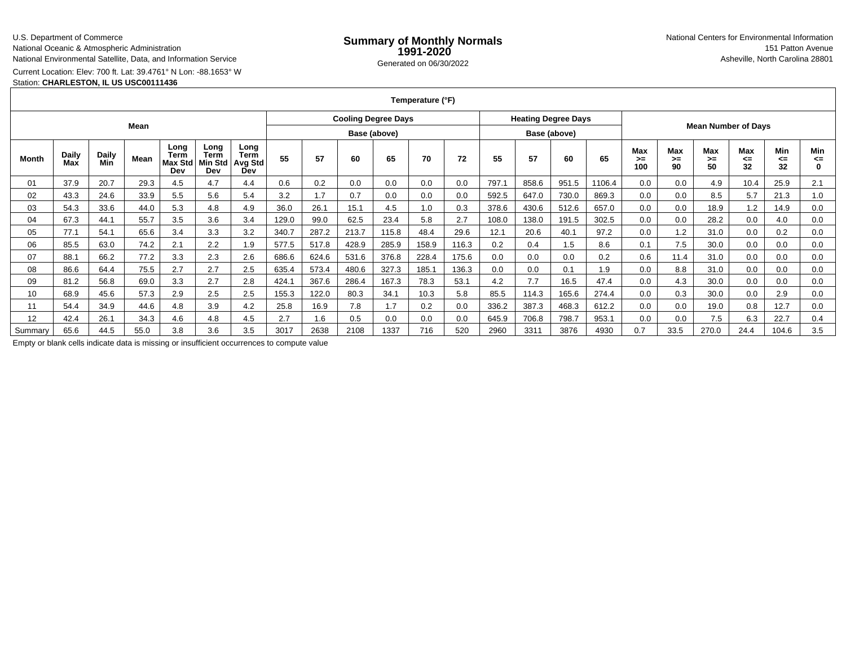### U.S. Department of Commerce

National Oceanic & Atmospheric Administration

National Environmental Satellite, Data, and Information Service

Current Location: Elev: 700 ft. Lat: 39.4761° N Lon: -88.1653° W

## Station: **CHARLESTON, IL US USC00111436**

**Temperature (°F)**

|         |                     |              | Mean |                                |                                       |                                       |       |       |       | <b>Cooling Degree Days</b> |       |       |       | <b>Heating Degree Days</b> |              |        |                  |                   |                            |                 |                 |               |
|---------|---------------------|--------------|------|--------------------------------|---------------------------------------|---------------------------------------|-------|-------|-------|----------------------------|-------|-------|-------|----------------------------|--------------|--------|------------------|-------------------|----------------------------|-----------------|-----------------|---------------|
|         |                     |              |      |                                |                                       |                                       |       |       |       | Base (above)               |       |       |       |                            | Base (above) |        |                  |                   | <b>Mean Number of Days</b> |                 |                 |               |
| Month   | <b>Daily</b><br>Max | Daily<br>Min | Mean | Long<br>Term<br>Max Std<br>Dev | Long<br><b>Term</b><br>Min Std<br>Dev | Long<br><b>Term</b><br>Avg Std<br>Dev | 55    | 57    | 60    | 65                         | 70    | 72    | 55    | 57                         | 60           | 65     | Max<br>>≕<br>100 | Max<br>$>=$<br>90 | <b>Max</b><br>$>=$<br>50   | Max<br><=<br>32 | Min<br><=<br>32 | Min<br><=     |
| 01      | 37.9                | 20.7         | 29.3 | 4.5                            | 4.7                                   | 4.4                                   | 0.6   | 0.2   | 0.0   | 0.0                        | 0.0   | 0.0   | 797.1 | 858.6                      | 951.5        | 1106.4 | 0.0              | 0.0               | 4.9                        | 10.4            | 25.9            | 2.1           |
| 02      | 43.3                | 24.6         | 33.9 | 5.5                            | 5.6                                   | 5.4                                   | 3.2   | 1.7   | 0.7   | 0.0                        | 0.0   | 0.0   | 592.5 | 647.0                      | 730.0        | 869.3  | 0.0              | 0.0               | 8.5                        | 5.7             | 21.3            | 1.0           |
| 03      | 54.3                | 33.6         | 44.0 | 5.3                            | 4.8                                   | 4.9                                   | 36.0  | 26.1  | 15.1  | 4.5                        | 1.0   | 0.3   | 378.6 | 430.6                      | 512.6        | 657.0  | 0.0              | 0.0               | 18.9                       | 1.2             | 14.9            | 0.0           |
| 04      | 67.3                | 44.1         | 55.7 | 3.5                            | 3.6                                   | 3.4                                   | 129.0 | 99.0  | 62.5  | 23.4                       | 5.8   | 2.7   | 108.0 | 138.0                      | 191.5        | 302.5  | 0.0              | 0.0               | 28.2                       | 0.0             | 4.0             | 0.0           |
| 05      | 77.1                | 54.1         | 65.6 | 3.4                            | 3.3                                   | 3.2                                   | 340.7 | 287.2 | 213.7 | 115.8                      | 48.4  | 29.6  | 12.1  | 20.6                       | 40.1         | 97.2   | 0.0              | 1.2               | 31.0                       | 0.0             | 0.2             | 0.0           |
| 06      | 85.5                | 63.0         | 74.2 | 2.1                            | 2.2                                   | 1.9                                   | 577.5 | 517.8 | 428.9 | 285.9                      | 158.9 | 116.3 | 0.2   | 0.4                        | 1.5          | 8.6    | 0.1              | 7.5               | 30.0                       | 0.0             | 0.0             | 0.0           |
| 07      | 88.1                | 66.2         | 77.2 | 3.3                            | 2.3                                   | 2.6                                   | 686.6 | 624.6 | 531.6 | 376.8                      | 228.4 | 175.6 | 0.0   | 0.0                        | 0.0          | 0.2    | 0.6              | 11.4              | 31.0                       | 0.0             | 0.0             | 0.0           |
| 08      | 86.6                | 64.4         | 75.5 | 2.7                            | 2.7                                   | 2.5                                   | 635.4 | 573.4 | 480.6 | 327.3                      | 185.1 | 136.3 | 0.0   | 0.0                        | 0.1          | 1.9    | 0.0              | 8.8               | 31.0                       | 0.0             | 0.0             | 0.0           |
| 09      | 81.2                | 56.8         | 69.0 | 3.3                            | 2.7                                   | 2.8                                   | 424.1 | 367.6 | 286.4 | 167.3                      | 78.3  | 53.1  | 4.2   | 7.7                        | 16.5         | 47.4   | 0.0              | 4.3               | 30.0                       | 0.0             | 0.0             | 0.0           |
| 10      | 68.9                | 45.6         | 57.3 | 2.9                            | 2.5                                   | 2.5                                   | 155.3 | 122.0 | 80.3  | 34.1                       | 10.3  | 5.8   | 85.5  | 114.3                      | 165.6        | 274.4  | 0.0              | 0.3               | 30.0                       | 0.0             | 2.9             | 0.0           |
| 11      | 54.4                | 34.9         | 44.6 | 4.8                            | 3.9                                   | 4.2                                   | 25.8  | 16.9  | 7.8   | 1.7                        | 0.2   | 0.0   | 336.2 | 387.3                      | 468.3        | 612.2  | 0.0              | 0.0               | 19.0                       | 0.8             | 12.7            | 0.0           |
| 12      | 42.4                | 26.1         | 34.3 | 4.6                            | 4.8                                   | 4.5                                   | 2.7   | 1.6   | 0.5   | 0.0                        | 0.0   | 0.0   | 645.9 | 706.8                      | 798.7        | 953.1  | 0.0              | 0.0               | 7.5                        | 6.3             | 22.7            | $0.4^{\circ}$ |
| Summarv | 65.6                | 44.5         | 55.0 | 3.8                            | 3.6                                   | 3.5                                   | 3017  | 2638  | 2108  | 1337                       | 716   | 520   | 2960  | 3311                       | 3876         | 4930   | 0.7              | 33.5              | 270.0                      | 24.4            | 104.6           | 3.5           |

Empty or blank cells indicate data is missing or insufficient occurrences to compute value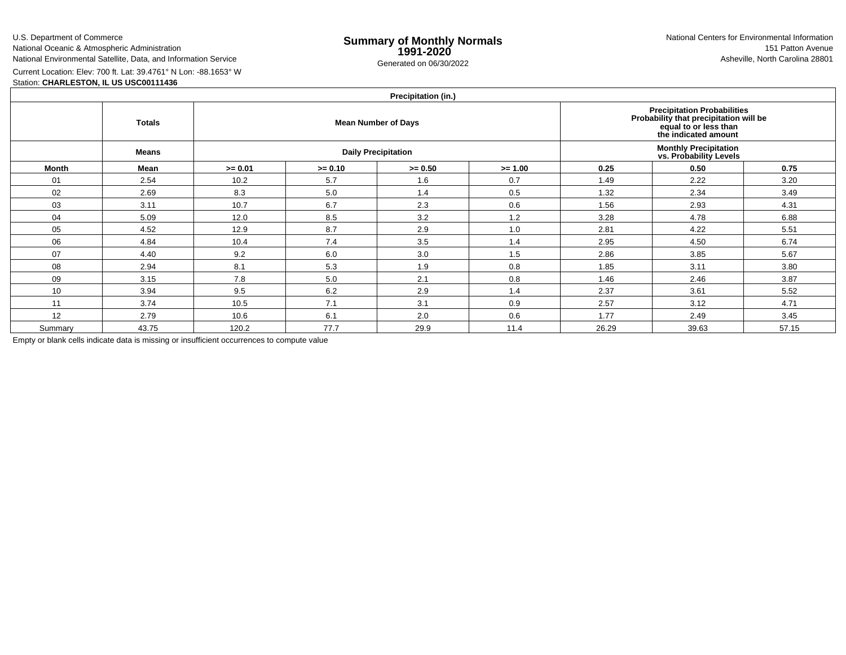U.S. Department of Commerce

National Oceanic & Atmospheric Administration

National Environmental Satellite, Data, and Information Service

Current Location: Elev: 700 ft. Lat: 39.4761° N Lon: -88.1653° W

Station: **CHARLESTON, IL US USC00111436**

| Precipitation (in.) |  |
|---------------------|--|
|                     |  |

|              | <b>Totals</b> |           |                                                                                       | <b>Mean Number of Days</b> |           | Precipitation Probabilities<br>Probability that precipitation will be<br>equal to or less than<br>the indicated amount |       |       |  |  |  |
|--------------|---------------|-----------|---------------------------------------------------------------------------------------|----------------------------|-----------|------------------------------------------------------------------------------------------------------------------------|-------|-------|--|--|--|
|              | <b>Means</b>  |           | <b>Monthly Precipitation<br/>vs. Probability Levels</b><br><b>Daily Precipitation</b> |                            |           |                                                                                                                        |       |       |  |  |  |
| <b>Month</b> | Mean          | $>= 0.01$ | $>= 0.10$                                                                             | $>= 0.50$                  | $>= 1.00$ | 0.25                                                                                                                   | 0.50  | 0.75  |  |  |  |
| 01           | 2.54          | 10.2      | 5.7                                                                                   | 1.6                        | 0.7       | 1.49                                                                                                                   | 2.22  | 3.20  |  |  |  |
| 02           | 2.69          | 8.3       | 5.0                                                                                   | 1.4                        | 0.5       | 1.32                                                                                                                   | 2.34  | 3.49  |  |  |  |
| 03           | 3.11          | 10.7      | 6.7                                                                                   | 2.3                        | 0.6       | 1.56                                                                                                                   | 2.93  | 4.31  |  |  |  |
| 04           | 5.09          | 12.0      | 8.5                                                                                   | 3.2                        | 1.2       | 3.28                                                                                                                   | 4.78  | 6.88  |  |  |  |
| 05           | 4.52          | 12.9      | 8.7                                                                                   | 2.9                        | 1.0       | 2.81                                                                                                                   | 4.22  | 5.51  |  |  |  |
| 06           | 4.84          | 10.4      | 7.4                                                                                   | 3.5                        | 1.4       | 2.95                                                                                                                   | 4.50  | 6.74  |  |  |  |
| 07           | 4.40          | 9.2       | 6.0                                                                                   | 3.0                        | 1.5       | 2.86                                                                                                                   | 3.85  | 5.67  |  |  |  |
| 08           | 2.94          | 8.1       | 5.3                                                                                   | 1.9                        | 0.8       | 1.85                                                                                                                   | 3.11  | 3.80  |  |  |  |
| 09           | 3.15          | 7.8       | 5.0                                                                                   | 2.1                        | 0.8       | 1.46                                                                                                                   | 2.46  | 3.87  |  |  |  |
| 10           | 3.94          | 9.5       | 6.2                                                                                   | 2.9                        | 1.4       | 2.37                                                                                                                   | 3.61  | 5.52  |  |  |  |
| 11           | 3.74          | 10.5      | 7.1                                                                                   | 3.1                        | 0.9       | 2.57                                                                                                                   | 3.12  | 4.71  |  |  |  |
| 12           | 2.79          | 10.6      | 6.1                                                                                   | 2.0                        | 0.6       | 1.77                                                                                                                   | 2.49  | 3.45  |  |  |  |
| Summary      | 43.75         | 120.2     | 77.7                                                                                  | 29.9                       | 11.4      | 26.29                                                                                                                  | 39.63 | 57.15 |  |  |  |

Empty or blank cells indicate data is missing or insufficient occurrences to compute value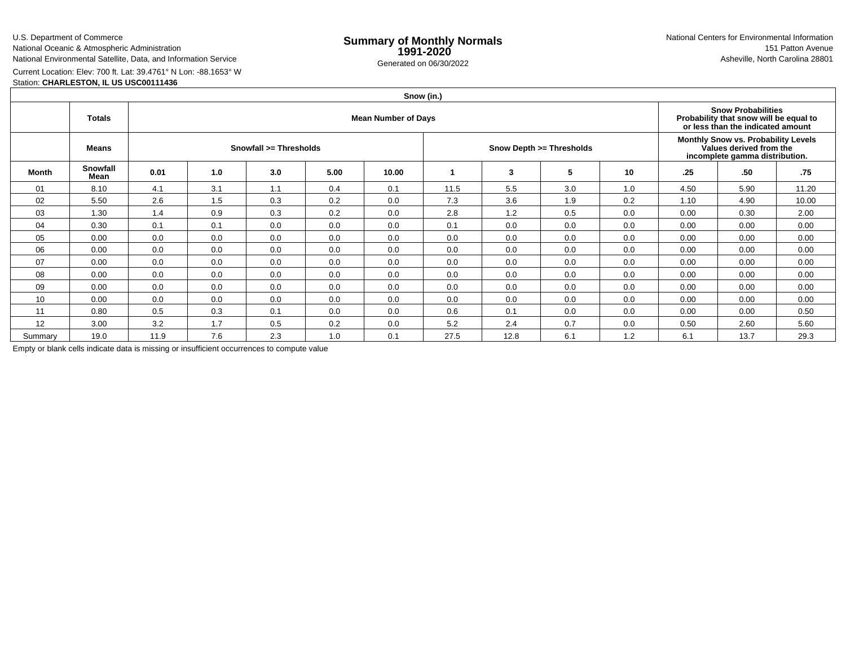U.S. Department of Commerce

National Oceanic & Atmospheric AdministrationNational Environmental Satellite, Data, and Information Service

e **Summary of Monthly Normals**<br> **1991-2020** 151 Patton Avenue **1991-2020** 1997-2020 e Generated on 06/30/2022 Asheville, North Carolina 28801 National Centers for Environmental Information151 Patton Avenue

Current Location: Elev: 700 ft. Lat: 39.4761° N Lon: -88.1653° W

## Station: **CHARLESTON, IL US USC00111436**

# **Snow (in.)**

|         | <b>Totals</b>           |                        |     | <b>Snow Probabilities</b><br>Probability that snow will be equal to<br>or less than the indicated amount |      |       |      |      |                          |                                                                                                  |      |      |       |
|---------|-------------------------|------------------------|-----|----------------------------------------------------------------------------------------------------------|------|-------|------|------|--------------------------|--------------------------------------------------------------------------------------------------|------|------|-------|
|         | Means                   | Snowfall >= Thresholds |     |                                                                                                          |      |       |      |      | Snow Depth >= Thresholds | Monthly Snow vs. Probability Levels<br>Values derived from the<br>incomplete gamma distribution. |      |      |       |
| Month   | <b>Snowfall</b><br>Mean | 0.01                   | 1.0 | 3.0                                                                                                      | 5.00 | 10.00 |      | 3    | 5                        | 10                                                                                               | .25  | .50  | .75   |
| 01      | 8.10                    | 4.1                    | 3.1 | 1.1                                                                                                      | 0.4  | 0.1   | 11.5 | 5.5  | 3.0                      | 1.0                                                                                              | 4.50 | 5.90 | 11.20 |
| 02      | 5.50                    | 2.6                    | 1.5 | 0.3                                                                                                      | 0.2  | 0.0   | 7.3  | 3.6  | 1.9                      | 0.2                                                                                              | 1.10 | 4.90 | 10.00 |
| 03      | 1.30                    | 1.4                    | 0.9 | 0.3                                                                                                      | 0.2  | 0.0   | 2.8  | 1.2  | 0.5                      | 0.0                                                                                              | 0.00 | 0.30 | 2.00  |
| 04      | 0.30                    | 0.1                    | 0.1 | 0.0                                                                                                      | 0.0  | 0.0   | 0.1  | 0.0  | 0.0                      | 0.0                                                                                              | 0.00 | 0.00 | 0.00  |
| 05      | 0.00                    | 0.0                    | 0.0 | 0.0                                                                                                      | 0.0  | 0.0   | 0.0  | 0.0  | 0.0                      | 0.0                                                                                              | 0.00 | 0.00 | 0.00  |
| 06      | 0.00                    | 0.0                    | 0.0 | 0.0                                                                                                      | 0.0  | 0.0   | 0.0  | 0.0  | 0.0                      | 0.0                                                                                              | 0.00 | 0.00 | 0.00  |
| 07      | 0.00                    | 0.0                    | 0.0 | 0.0                                                                                                      | 0.0  | 0.0   | 0.0  | 0.0  | 0.0                      | 0.0                                                                                              | 0.00 | 0.00 | 0.00  |
| 08      | 0.00                    | 0.0                    | 0.0 | 0.0                                                                                                      | 0.0  | 0.0   | 0.0  | 0.0  | 0.0                      | 0.0                                                                                              | 0.00 | 0.00 | 0.00  |
| 09      | 0.00                    | 0.0                    | 0.0 | 0.0                                                                                                      | 0.0  | 0.0   | 0.0  | 0.0  | 0.0                      | 0.0                                                                                              | 0.00 | 0.00 | 0.00  |
| 10      | 0.00                    | 0.0                    | 0.0 | 0.0                                                                                                      | 0.0  | 0.0   | 0.0  | 0.0  | 0.0                      | 0.0                                                                                              | 0.00 | 0.00 | 0.00  |
| 11      | 0.80                    | 0.5                    | 0.3 | 0.1                                                                                                      | 0.0  | 0.0   | 0.6  | 0.1  | 0.0                      | 0.0                                                                                              | 0.00 | 0.00 | 0.50  |
| 12      | 3.00                    | 3.2                    | 1.7 | 0.5                                                                                                      | 0.2  | 0.0   | 5.2  | 2.4  | 0.7                      | 0.0                                                                                              | 0.50 | 2.60 | 5.60  |
| Summary | 19.0                    | 11.9                   | 7.6 | 2.3                                                                                                      | 1.0  | 0.1   | 27.5 | 12.8 | 6.1                      | 1.2                                                                                              | 6.1  | 13.7 | 29.3  |

Empty or blank cells indicate data is missing or insufficient occurrences to compute value